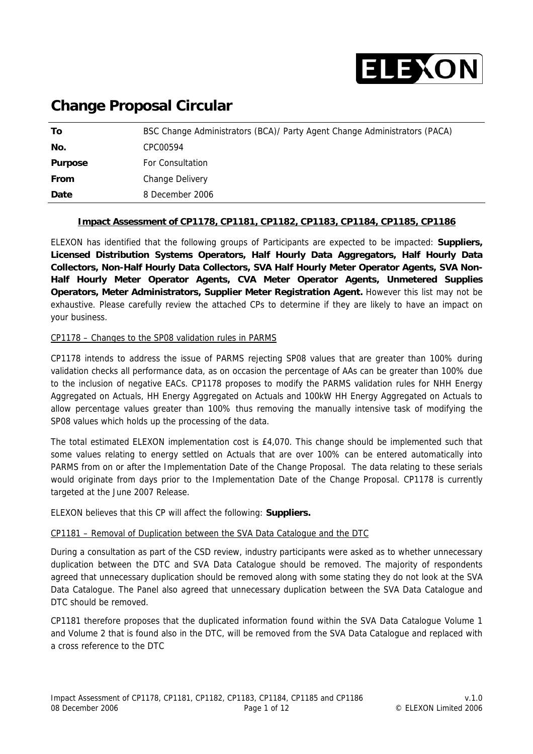

## **Change Proposal Circular**

| Τo             | BSC Change Administrators (BCA)/ Party Agent Change Administrators (PACA) |
|----------------|---------------------------------------------------------------------------|
| No.            | CPC00594                                                                  |
| <b>Purpose</b> | <b>For Consultation</b>                                                   |
| <b>From</b>    | Change Delivery                                                           |
| Date           | 8 December 2006                                                           |

#### **Impact Assessment of CP1178, CP1181, CP1182, CP1183, CP1184, CP1185, CP1186**

ELEXON has identified that the following groups of Participants are expected to be impacted: **Suppliers, Licensed Distribution Systems Operators, Half Hourly Data Aggregators, Half Hourly Data Collectors, Non-Half Hourly Data Collectors, SVA Half Hourly Meter Operator Agents, SVA Non-Half Hourly Meter Operator Agents, CVA Meter Operator Agents, Unmetered Supplies Operators, Meter Administrators, Supplier Meter Registration Agent.** However this list may not be exhaustive. Please carefully review the attached CPs to determine if they are likely to have an impact on your business.

#### CP1178 – Changes to the SP08 validation rules in PARMS

CP1178 intends to address the issue of PARMS rejecting SP08 values that are greater than 100% during validation checks all performance data, as on occasion the percentage of AAs can be greater than 100% due to the inclusion of negative EACs. CP1178 proposes to modify the PARMS validation rules for NHH Energy Aggregated on Actuals, HH Energy Aggregated on Actuals and 100kW HH Energy Aggregated on Actuals to allow percentage values greater than 100% thus removing the manually intensive task of modifying the SP08 values which holds up the processing of the data.

The total estimated ELEXON implementation cost is £4,070. This change should be implemented such that some values relating to energy settled on Actuals that are over 100% can be entered automatically into PARMS from on or after the Implementation Date of the Change Proposal. The data relating to these serials would originate from days prior to the Implementation Date of the Change Proposal. CP1178 is currently targeted at the June 2007 Release.

ELEXON believes that this CP will affect the following: **Suppliers.** 

#### CP1181 – Removal of Duplication between the SVA Data Catalogue and the DTC

During a consultation as part of the CSD review, industry participants were asked as to whether unnecessary duplication between the DTC and SVA Data Catalogue should be removed. The majority of respondents agreed that unnecessary duplication should be removed along with some stating they do not look at the SVA Data Catalogue. The Panel also agreed that unnecessary duplication between the SVA Data Catalogue and DTC should be removed.

CP1181 therefore proposes that the duplicated information found within the SVA Data Catalogue Volume 1 and Volume 2 that is found also in the DTC, will be removed from the SVA Data Catalogue and replaced with a cross reference to the DTC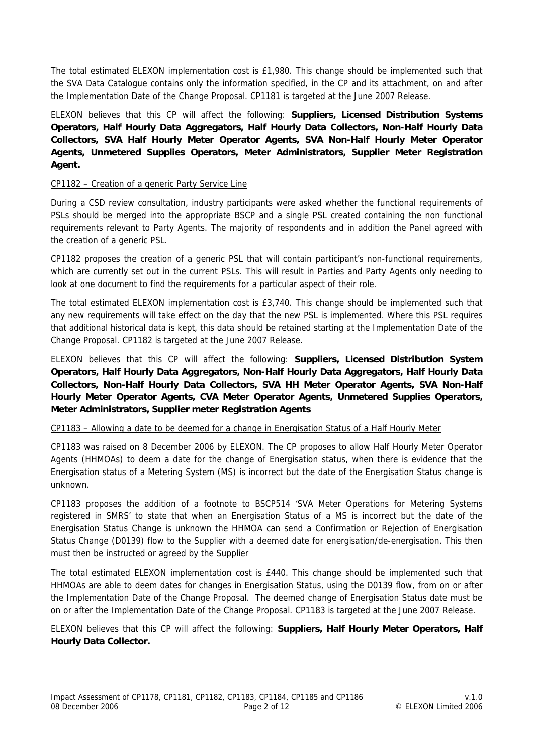The total estimated ELEXON implementation cost is £1,980. This change should be implemented such that the SVA Data Catalogue contains only the information specified, in the CP and its attachment, on and after the Implementation Date of the Change Proposal. CP1181 is targeted at the June 2007 Release.

ELEXON believes that this CP will affect the following: **Suppliers, Licensed Distribution Systems Operators, Half Hourly Data Aggregators, Half Hourly Data Collectors, Non-Half Hourly Data Collectors, SVA Half Hourly Meter Operator Agents, SVA Non-Half Hourly Meter Operator Agents, Unmetered Supplies Operators, Meter Administrators, Supplier Meter Registration Agent.**

#### CP1182 – Creation of a generic Party Service Line

During a CSD review consultation, industry participants were asked whether the functional requirements of PSLs should be merged into the appropriate BSCP and a single PSL created containing the non functional requirements relevant to Party Agents. The majority of respondents and in addition the Panel agreed with the creation of a generic PSL.

CP1182 proposes the creation of a generic PSL that will contain participant's non-functional requirements, which are currently set out in the current PSLs. This will result in Parties and Party Agents only needing to look at one document to find the requirements for a particular aspect of their role.

The total estimated ELEXON implementation cost is £3,740. This change should be implemented such that any new requirements will take effect on the day that the new PSL is implemented. Where this PSL requires that additional historical data is kept, this data should be retained starting at the Implementation Date of the Change Proposal. CP1182 is targeted at the June 2007 Release.

ELEXON believes that this CP will affect the following: **Suppliers, Licensed Distribution System Operators, Half Hourly Data Aggregators, Non-Half Hourly Data Aggregators, Half Hourly Data Collectors, Non-Half Hourly Data Collectors, SVA HH Meter Operator Agents, SVA Non-Half Hourly Meter Operator Agents, CVA Meter Operator Agents, Unmetered Supplies Operators, Meter Administrators, Supplier meter Registration Agents** 

#### CP1183 – Allowing a date to be deemed for a change in Energisation Status of a Half Hourly Meter

CP1183 was raised on 8 December 2006 by ELEXON. The CP proposes to allow Half Hourly Meter Operator Agents (HHMOAs) to deem a date for the change of Energisation status, when there is evidence that the Energisation status of a Metering System (MS) is incorrect but the date of the Energisation Status change is unknown.

CP1183 proposes the addition of a footnote to BSCP514 'SVA Meter Operations for Metering Systems registered in SMRS' to state that when an Energisation Status of a MS is incorrect but the date of the Energisation Status Change is unknown the HHMOA can send a Confirmation or Rejection of Energisation Status Change (D0139) flow to the Supplier with a deemed date for energisation/de-energisation. This then must then be instructed or agreed by the Supplier

The total estimated ELEXON implementation cost is £440. This change should be implemented such that HHMOAs are able to deem dates for changes in Energisation Status, using the D0139 flow, from on or after the Implementation Date of the Change Proposal. The deemed change of Energisation Status date must be on or after the Implementation Date of the Change Proposal. CP1183 is targeted at the June 2007 Release.

ELEXON believes that this CP will affect the following: **Suppliers, Half Hourly Meter Operators, Half Hourly Data Collector.**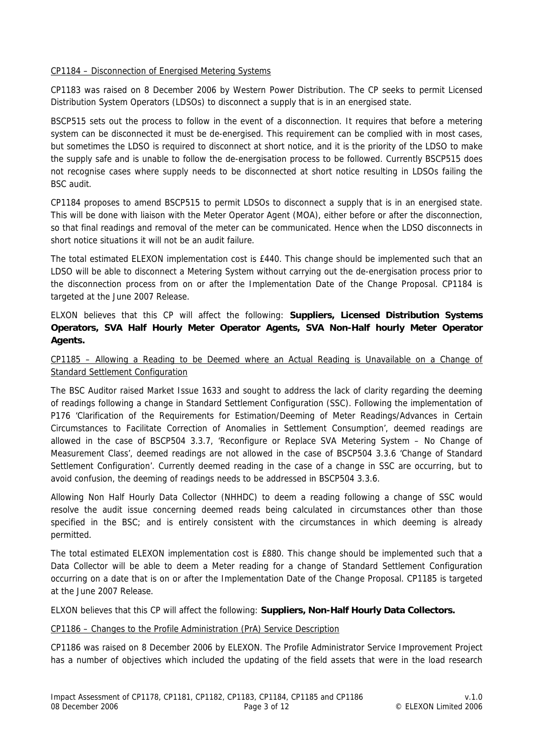#### CP1184 – Disconnection of Energised Metering Systems

CP1183 was raised on 8 December 2006 by Western Power Distribution. The CP seeks to permit Licensed Distribution System Operators (LDSOs) to disconnect a supply that is in an energised state.

BSCP515 sets out the process to follow in the event of a disconnection. It requires that before a metering system can be disconnected it must be de-energised. This requirement can be complied with in most cases, but sometimes the LDSO is required to disconnect at short notice, and it is the priority of the LDSO to make the supply safe and is unable to follow the de-energisation process to be followed. Currently BSCP515 does not recognise cases where supply needs to be disconnected at short notice resulting in LDSOs failing the BSC audit.

CP1184 proposes to amend BSCP515 to permit LDSOs to disconnect a supply that is in an energised state. This will be done with liaison with the Meter Operator Agent (MOA), either before or after the disconnection, so that final readings and removal of the meter can be communicated. Hence when the LDSO disconnects in short notice situations it will not be an audit failure.

The total estimated ELEXON implementation cost is £440. This change should be implemented such that an LDSO will be able to disconnect a Metering System without carrying out the de-energisation process prior to the disconnection process from on or after the Implementation Date of the Change Proposal. CP1184 is targeted at the June 2007 Release.

ELXON believes that this CP will affect the following: **Suppliers, Licensed Distribution Systems Operators, SVA Half Hourly Meter Operator Agents, SVA Non-Half hourly Meter Operator Agents.**

#### CP1185 – Allowing a Reading to be Deemed where an Actual Reading is Unavailable on a Change of Standard Settlement Configuration

The BSC Auditor raised Market Issue 1633 and sought to address the lack of clarity regarding the deeming of readings following a change in Standard Settlement Configuration (SSC). Following the implementation of P176 'Clarification of the Requirements for Estimation/Deeming of Meter Readings/Advances in Certain Circumstances to Facilitate Correction of Anomalies in Settlement Consumption', deemed readings are allowed in the case of BSCP504 3.3.7, 'Reconfigure or Replace SVA Metering System – No Change of Measurement Class', deemed readings are not allowed in the case of BSCP504 3.3.6 'Change of Standard Settlement Configuration'. Currently deemed reading in the case of a change in SSC are occurring, but to avoid confusion, the deeming of readings needs to be addressed in BSCP504 3.3.6.

Allowing Non Half Hourly Data Collector (NHHDC) to deem a reading following a change of SSC would resolve the audit issue concerning deemed reads being calculated in circumstances other than those specified in the BSC; and is entirely consistent with the circumstances in which deeming is already permitted.

The total estimated ELEXON implementation cost is £880. This change should be implemented such that a Data Collector will be able to deem a Meter reading for a change of Standard Settlement Configuration occurring on a date that is on or after the Implementation Date of the Change Proposal. CP1185 is targeted at the June 2007 Release.

ELXON believes that this CP will affect the following: **Suppliers, Non-Half Hourly Data Collectors.** 

#### CP1186 – Changes to the Profile Administration (PrA) Service Description

CP1186 was raised on 8 December 2006 by ELEXON. The Profile Administrator Service Improvement Project has a number of objectives which included the updating of the field assets that were in the load research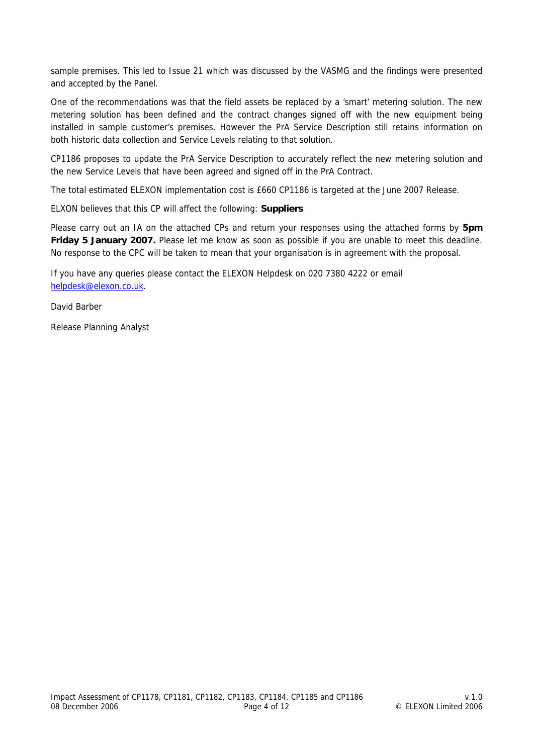sample premises. This led to Issue 21 which was discussed by the VASMG and the findings were presented and accepted by the Panel.

One of the recommendations was that the field assets be replaced by a 'smart' metering solution. The new metering solution has been defined and the contract changes signed off with the new equipment being installed in sample customer's premises. However the PrA Service Description still retains information on both historic data collection and Service Levels relating to that solution.

CP1186 proposes to update the PrA Service Description to accurately reflect the new metering solution and the new Service Levels that have been agreed and signed off in the PrA Contract.

The total estimated ELEXON implementation cost is £660 CP1186 is targeted at the June 2007 Release.

ELXON believes that this CP will affect the following: **Suppliers**

Please carry out an IA on the attached CPs and return your responses using the attached forms by **5pm Friday 5 January 2007.** Please let me know as soon as possible if you are unable to meet this deadline. No response to the CPC will be taken to mean that your organisation is in agreement with the proposal.

If you have any queries please contact the ELEXON Helpdesk on 020 7380 4222 or email [helpdesk@elexon.co.uk](mailto:helpdesk@elexon.co.uk).

David Barber

Release Planning Analyst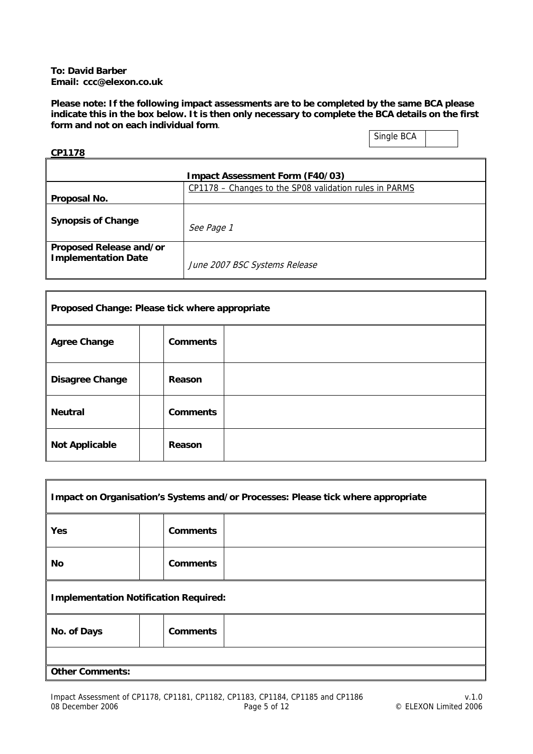#### **To: David Barber Email: ccc@elexon.co.uk**

**Please note: If the following impact assessments are to be completed by the same BCA please indicate this in the box below. It is then only necessary to complete the BCA details on the first form and not on each individual form**.

### Single BCA

ī

# **CP1178**

 $\mathbf{r}$ 

|                                                       | <b>Impact Assessment Form (F40/03)</b>                 |
|-------------------------------------------------------|--------------------------------------------------------|
| Proposal No.                                          | CP1178 - Changes to the SP08 validation rules in PARMS |
| <b>Synopsis of Change</b>                             | See Page 1                                             |
| Proposed Release and/or<br><b>Implementation Date</b> | June 2007 BSC Systems Release                          |

| Proposed Change: Please tick where appropriate |                 |  |
|------------------------------------------------|-----------------|--|
| <b>Agree Change</b>                            | <b>Comments</b> |  |
| <b>Disagree Change</b>                         | Reason          |  |
| <b>Neutral</b>                                 | <b>Comments</b> |  |
| <b>Not Applicable</b>                          | Reason          |  |

| Impact on Organisation's Systems and/or Processes: Please tick where appropriate |                 |  |
|----------------------------------------------------------------------------------|-----------------|--|
| <b>Yes</b>                                                                       | <b>Comments</b> |  |
| <b>No</b>                                                                        | <b>Comments</b> |  |
| <b>Implementation Notification Required:</b>                                     |                 |  |
| No. of Days                                                                      | <b>Comments</b> |  |
|                                                                                  |                 |  |
| <b>Other Comments:</b>                                                           |                 |  |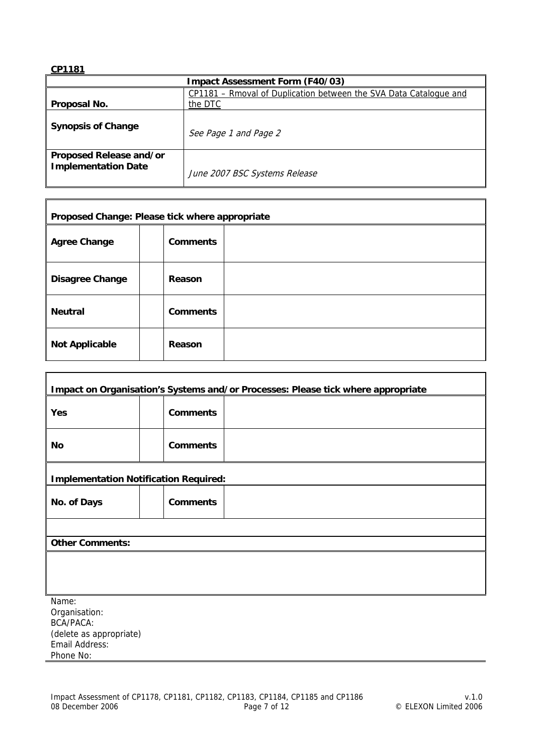| <b>Impact Assessment Form (F40/03)</b>         |                                                                   |  |  |
|------------------------------------------------|-------------------------------------------------------------------|--|--|
|                                                | CP1181 - Rmoval of Duplication between the SVA Data Catalogue and |  |  |
| Proposal No.                                   | the DTC                                                           |  |  |
| <b>Synopsis of Change</b>                      | See Page 1 and Page 2                                             |  |  |
| Proposed Release and/or<br>Implementation Date | June 2007 BSC Systems Release                                     |  |  |

| Proposed Change: Please tick where appropriate |                 |  |
|------------------------------------------------|-----------------|--|
| <b>Agree Change</b>                            | <b>Comments</b> |  |
| <b>Disagree Change</b>                         | Reason          |  |
| <b>Neutral</b>                                 | <b>Comments</b> |  |
| <b>Not Applicable</b>                          | Reason          |  |

| Impact on Organisation's Systems and/or Processes: Please tick where appropriate |                                              |  |
|----------------------------------------------------------------------------------|----------------------------------------------|--|
|                                                                                  |                                              |  |
| Yes                                                                              | <b>Comments</b>                              |  |
|                                                                                  |                                              |  |
| No                                                                               | <b>Comments</b>                              |  |
|                                                                                  |                                              |  |
|                                                                                  | <b>Implementation Notification Required:</b> |  |
| No. of Days                                                                      | <b>Comments</b>                              |  |
|                                                                                  |                                              |  |
| <b>Other Comments:</b>                                                           |                                              |  |
|                                                                                  |                                              |  |
|                                                                                  |                                              |  |
|                                                                                  |                                              |  |
| Name:<br>Organication:                                                           |                                              |  |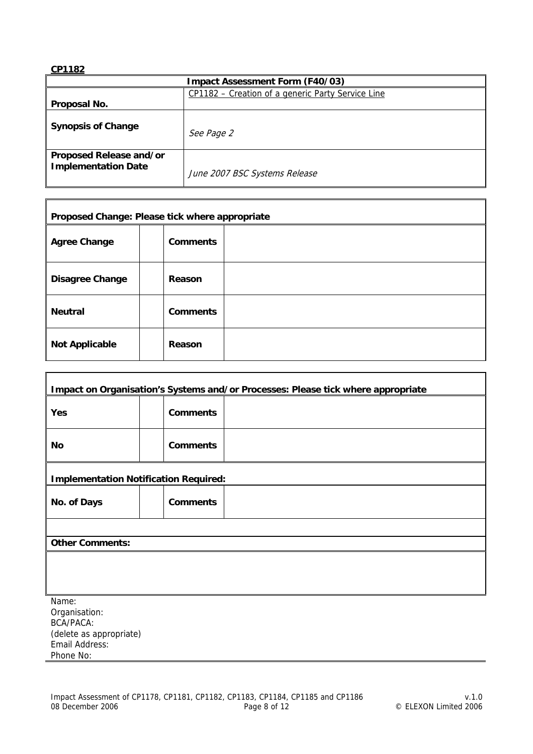| <b>Impact Assessment Form (F40/03)</b>         |                                                   |  |
|------------------------------------------------|---------------------------------------------------|--|
|                                                | CP1182 – Creation of a generic Party Service Line |  |
| Proposal No.                                   |                                                   |  |
| <b>Synopsis of Change</b>                      | See Page 2                                        |  |
| Proposed Release and/or<br>Implementation Date | June 2007 BSC Systems Release                     |  |

| Proposed Change: Please tick where appropriate |                 |  |
|------------------------------------------------|-----------------|--|
| <b>Agree Change</b>                            | <b>Comments</b> |  |
| <b>Disagree Change</b>                         | Reason          |  |
| <b>Neutral</b>                                 | <b>Comments</b> |  |
| <b>Not Applicable</b>                          | Reason          |  |

| Impact on Organisation's Systems and/or Processes: Please tick where appropriate |                                              |  |
|----------------------------------------------------------------------------------|----------------------------------------------|--|
|                                                                                  |                                              |  |
| Yes                                                                              | <b>Comments</b>                              |  |
|                                                                                  |                                              |  |
| No                                                                               | <b>Comments</b>                              |  |
|                                                                                  |                                              |  |
|                                                                                  | <b>Implementation Notification Required:</b> |  |
| No. of Days                                                                      | <b>Comments</b>                              |  |
|                                                                                  |                                              |  |
| <b>Other Comments:</b>                                                           |                                              |  |
|                                                                                  |                                              |  |
|                                                                                  |                                              |  |
|                                                                                  |                                              |  |
| Name:<br>Organication:                                                           |                                              |  |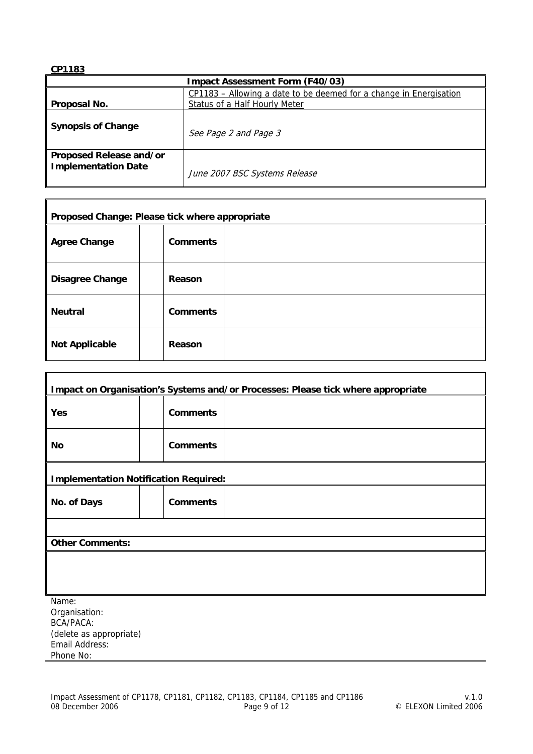| <b>Impact Assessment Form (F40/03)</b>         |                                                                                                     |  |  |
|------------------------------------------------|-----------------------------------------------------------------------------------------------------|--|--|
| Proposal No.                                   | CP1183 – Allowing a date to be deemed for a change in Energisation<br>Status of a Half Hourly Meter |  |  |
| <b>Synopsis of Change</b>                      | See Page 2 and Page 3                                                                               |  |  |
| Proposed Release and/or<br>Implementation Date | June 2007 BSC Systems Release                                                                       |  |  |

| Proposed Change: Please tick where appropriate |                 |  |
|------------------------------------------------|-----------------|--|
| <b>Agree Change</b>                            | <b>Comments</b> |  |
| <b>Disagree Change</b>                         | Reason          |  |
| <b>Neutral</b>                                 | <b>Comments</b> |  |
| <b>Not Applicable</b>                          | Reason          |  |

|                        | Impact on Organisation's Systems and/or Processes: Please tick where appropriate |  |  |
|------------------------|----------------------------------------------------------------------------------|--|--|
| Yes                    | <b>Comments</b>                                                                  |  |  |
| No                     | <b>Comments</b>                                                                  |  |  |
|                        | <b>Implementation Notification Required:</b>                                     |  |  |
| No. of Days            | <b>Comments</b>                                                                  |  |  |
|                        |                                                                                  |  |  |
| <b>Other Comments:</b> |                                                                                  |  |  |
|                        |                                                                                  |  |  |
|                        |                                                                                  |  |  |
|                        |                                                                                  |  |  |
| Name:                  |                                                                                  |  |  |
| Orașnication:          |                                                                                  |  |  |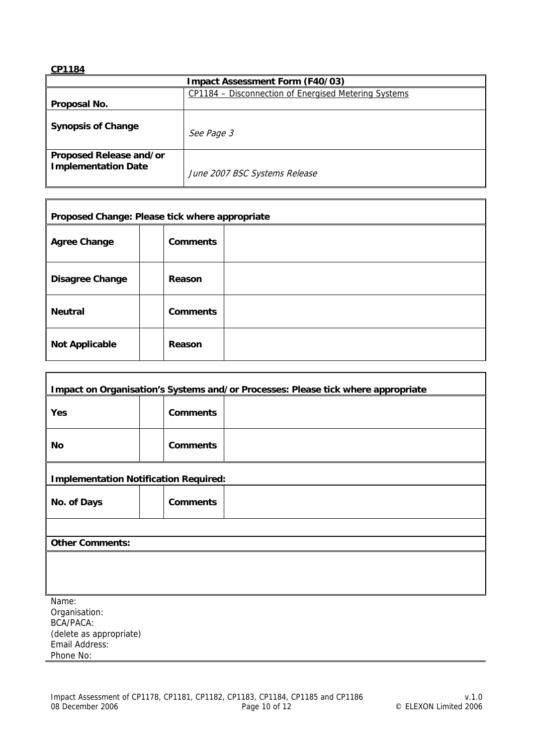| <b>Impact Assessment Form (F40/03)</b>         |                                                      |  |
|------------------------------------------------|------------------------------------------------------|--|
|                                                | CP1184 - Disconnection of Energised Metering Systems |  |
| Proposal No.                                   |                                                      |  |
| <b>Synopsis of Change</b>                      | See Page 3                                           |  |
| Proposed Release and/or<br>Implementation Date | June 2007 BSC Systems Release                        |  |

| Proposed Change: Please tick where appropriate |                 |  |
|------------------------------------------------|-----------------|--|
| <b>Agree Change</b>                            | <b>Comments</b> |  |
| <b>Disagree Change</b>                         | <b>Reason</b>   |  |
| <b>Neutral</b>                                 | <b>Comments</b> |  |
| <b>Not Applicable</b>                          | Reason          |  |

|                        | Impact on Organisation's Systems and/or Processes: Please tick where appropriate |  |  |
|------------------------|----------------------------------------------------------------------------------|--|--|
| Yes                    | <b>Comments</b>                                                                  |  |  |
| No                     | <b>Comments</b>                                                                  |  |  |
|                        | <b>Implementation Notification Required:</b>                                     |  |  |
| No. of Days            | <b>Comments</b>                                                                  |  |  |
|                        |                                                                                  |  |  |
| <b>Other Comments:</b> |                                                                                  |  |  |
|                        |                                                                                  |  |  |
|                        |                                                                                  |  |  |
|                        |                                                                                  |  |  |
| Name:                  |                                                                                  |  |  |
| Orașnication:          |                                                                                  |  |  |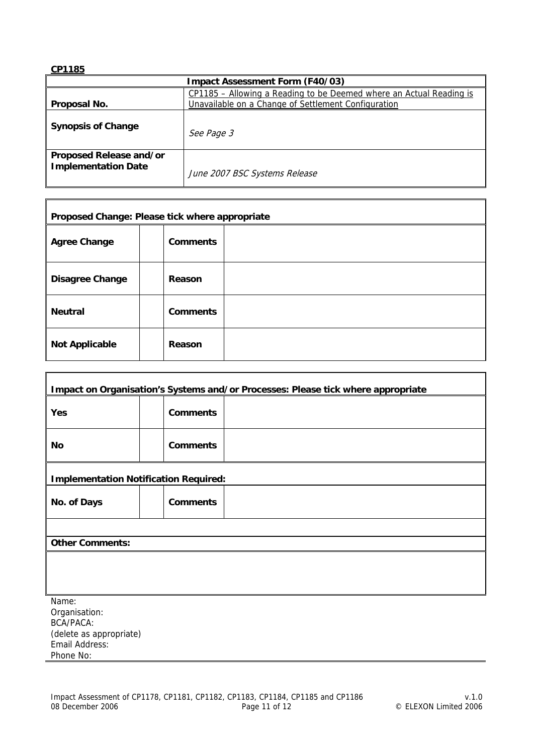| <b>Impact Assessment Form (F40/03)</b>                |                                                                                                                            |  |
|-------------------------------------------------------|----------------------------------------------------------------------------------------------------------------------------|--|
| Proposal No.                                          | CP1185 – Allowing a Reading to be Deemed where an Actual Reading is<br>Unavailable on a Change of Settlement Configuration |  |
| <b>Synopsis of Change</b>                             | See Page 3                                                                                                                 |  |
| Proposed Release and/or<br><b>Implementation Date</b> | June 2007 BSC Systems Release                                                                                              |  |

| Proposed Change: Please tick where appropriate |                 |  |
|------------------------------------------------|-----------------|--|
| <b>Agree Change</b>                            | <b>Comments</b> |  |
| <b>Disagree Change</b>                         | Reason          |  |
| <b>Neutral</b>                                 | <b>Comments</b> |  |
| <b>Not Applicable</b>                          | Reason          |  |

| Impact on Organisation's Systems and/or Processes: Please tick where appropriate |                                              |  |  |
|----------------------------------------------------------------------------------|----------------------------------------------|--|--|
|                                                                                  |                                              |  |  |
| Yes                                                                              | <b>Comments</b>                              |  |  |
|                                                                                  |                                              |  |  |
| No                                                                               | <b>Comments</b>                              |  |  |
|                                                                                  |                                              |  |  |
|                                                                                  | <b>Implementation Notification Required:</b> |  |  |
| No. of Days                                                                      | <b>Comments</b>                              |  |  |
|                                                                                  |                                              |  |  |
| <b>Other Comments:</b>                                                           |                                              |  |  |
|                                                                                  |                                              |  |  |
|                                                                                  |                                              |  |  |
|                                                                                  |                                              |  |  |
| Name:<br>Organication:                                                           |                                              |  |  |